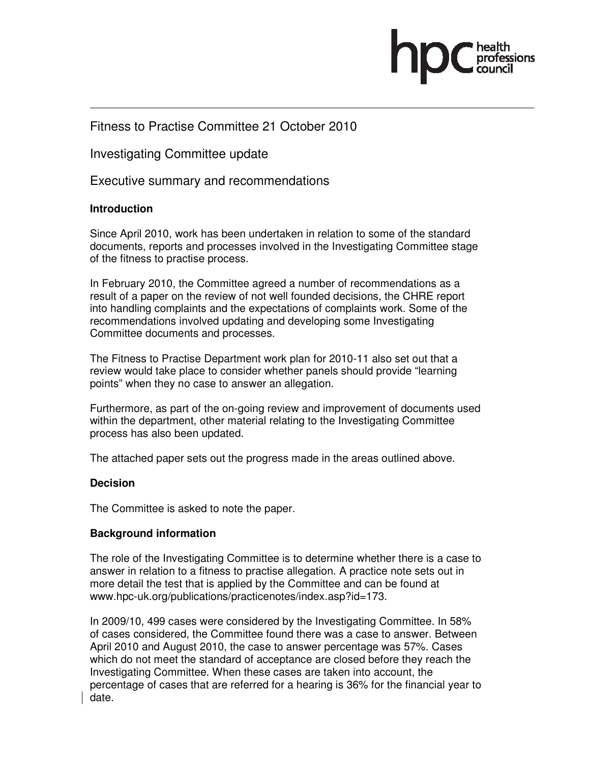

# Fitness to Practise Committee 21 October 2010

Investigating Committee update

Executive summary and recommendations

### **Introduction**

Since April 2010, work has been undertaken in relation to some of the standard documents, reports and processes involved in the Investigating Committee stage of the fitness to practise process.

In February 2010, the Committee agreed a number of recommendations as a result of a paper on the review of not well founded decisions, the CHRE report into handling complaints and the expectations of complaints work. Some of the recommendations involved updating and developing some Investigating Committee documents and processes.

The Fitness to Practise Department work plan for 2010-11 also set out that a review would take place to consider whether panels should provide "learning points" when they no case to answer an allegation.

Furthermore, as part of the on-going review and improvement of documents used within the department, other material relating to the Investigating Committee process has also been updated.

The attached paper sets out the progress made in the areas outlined above.

#### **Decision**

The Committee is asked to note the paper.

### **Background information**

The role of the Investigating Committee is to determine whether there is a case to answer in relation to a fitness to practise allegation. A practice note sets out in more detail the test that is applied by the Committee and can be found at www.hpc-uk.org/publications/practicenotes/index.asp?id=173.

In 2009/10, 499 cases were considered by the Investigating Committee. In 58% of cases considered, the Committee found there was a case to answer. Between April 2010 and August 2010, the case to answer percentage was 57%. Cases which do not meet the standard of acceptance are closed before they reach the Investigating Committee. When these cases are taken into account, the percentage of cases that are referred for a hearing is 36% for the financial year to date.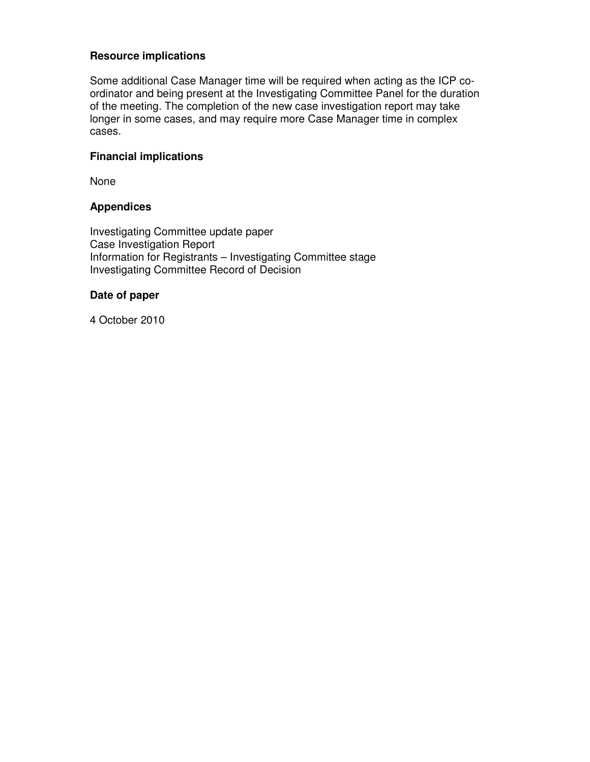## **Resource implications**

Some additional Case Manager time will be required when acting as the ICP coordinator and being present at the Investigating Committee Panel for the duration of the meeting. The completion of the new case investigation report may take longer in some cases, and may require more Case Manager time in complex cases.

## **Financial implications**

None

### **Appendices**

Investigating Committee update paper Case Investigation Report Information for Registrants – Investigating Committee stage Investigating Committee Record of Decision

### **Date of paper**

4 October 2010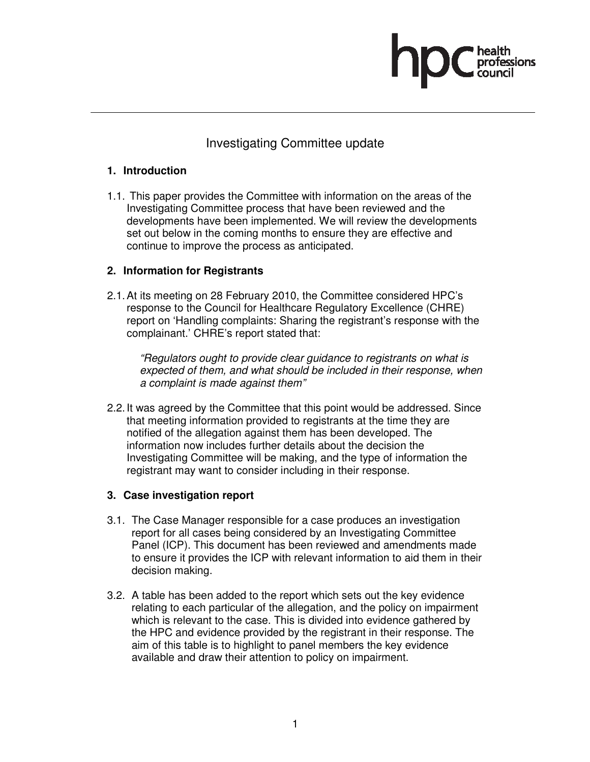# Investigating Committee update

# **1. Introduction**

1.1. This paper provides the Committee with information on the areas of the Investigating Committee process that have been reviewed and the developments have been implemented. We will review the developments set out below in the coming months to ensure they are effective and continue to improve the process as anticipated.

# **2. Information for Registrants**

2.1. At its meeting on 28 February 2010, the Committee considered HPC's response to the Council for Healthcare Regulatory Excellence (CHRE) report on 'Handling complaints: Sharing the registrant's response with the complainant.' CHRE's report stated that:

"Regulators ought to provide clear guidance to registrants on what is expected of them, and what should be included in their response, when a complaint is made against them"

2.2. It was agreed by the Committee that this point would be addressed. Since that meeting information provided to registrants at the time they are notified of the allegation against them has been developed. The information now includes further details about the decision the Investigating Committee will be making, and the type of information the registrant may want to consider including in their response.

# **3. Case investigation report**

- 3.1. The Case Manager responsible for a case produces an investigation report for all cases being considered by an Investigating Committee Panel (ICP). This document has been reviewed and amendments made to ensure it provides the ICP with relevant information to aid them in their decision making.
- 3.2. A table has been added to the report which sets out the key evidence relating to each particular of the allegation, and the policy on impairment which is relevant to the case. This is divided into evidence gathered by the HPC and evidence provided by the registrant in their response. The aim of this table is to highlight to panel members the key evidence available and draw their attention to policy on impairment.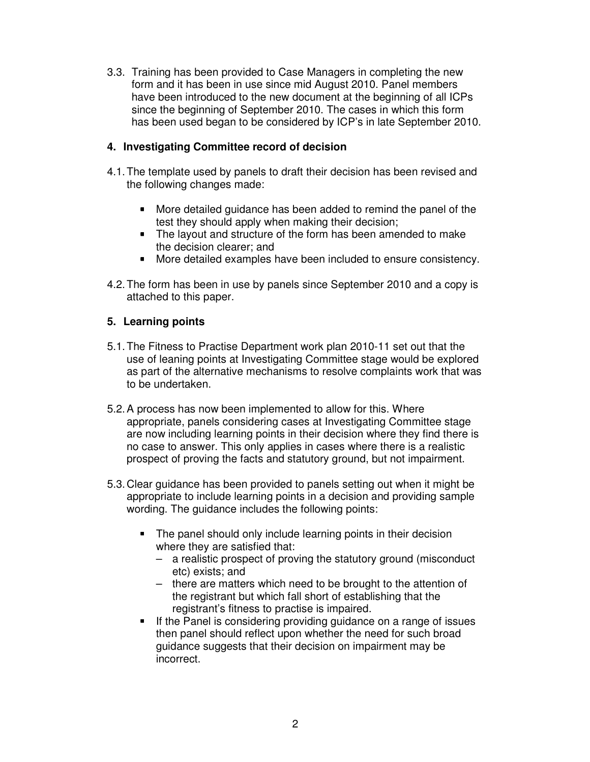3.3. Training has been provided to Case Managers in completing the new form and it has been in use since mid August 2010. Panel members have been introduced to the new document at the beginning of all ICPs since the beginning of September 2010. The cases in which this form has been used began to be considered by ICP's in late September 2010.

# **4. Investigating Committee record of decision**

- 4.1. The template used by panels to draft their decision has been revised and the following changes made:
	- **More detailed guidance has been added to remind the panel of the** test they should apply when making their decision;
	- The layout and structure of the form has been amended to make the decision clearer; and
	- More detailed examples have been included to ensure consistency.
- 4.2. The form has been in use by panels since September 2010 and a copy is attached to this paper.

### **5. Learning points**

- 5.1. The Fitness to Practise Department work plan 2010-11 set out that the use of leaning points at Investigating Committee stage would be explored as part of the alternative mechanisms to resolve complaints work that was to be undertaken.
- 5.2. A process has now been implemented to allow for this. Where appropriate, panels considering cases at Investigating Committee stage are now including learning points in their decision where they find there is no case to answer. This only applies in cases where there is a realistic prospect of proving the facts and statutory ground, but not impairment.
- 5.3. Clear guidance has been provided to panels setting out when it might be appropriate to include learning points in a decision and providing sample wording. The guidance includes the following points:
	- The panel should only include learning points in their decision where they are satisfied that:
		- a realistic prospect of proving the statutory ground (misconduct etc) exists; and
		- there are matters which need to be brought to the attention of the registrant but which fall short of establishing that the registrant's fitness to practise is impaired.
	- If the Panel is considering providing guidance on a range of issues then panel should reflect upon whether the need for such broad guidance suggests that their decision on impairment may be incorrect.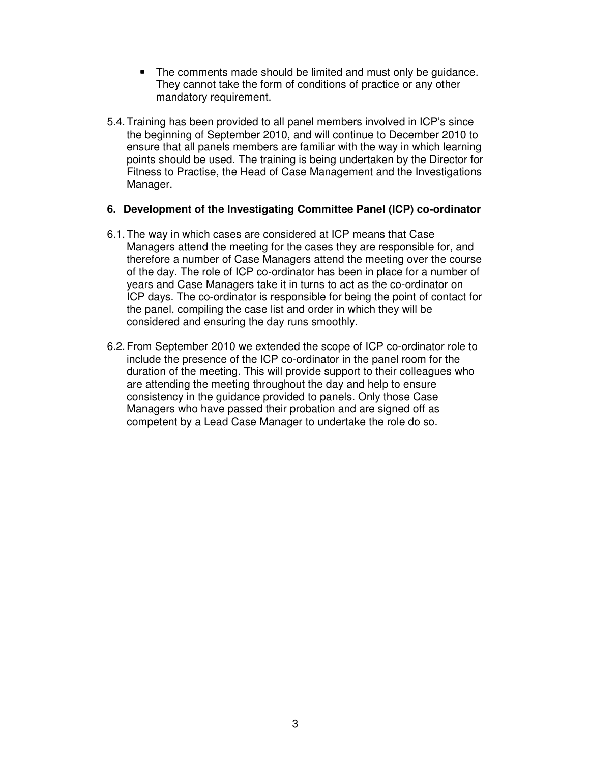- The comments made should be limited and must only be quidance. They cannot take the form of conditions of practice or any other mandatory requirement.
- 5.4. Training has been provided to all panel members involved in ICP's since the beginning of September 2010, and will continue to December 2010 to ensure that all panels members are familiar with the way in which learning points should be used. The training is being undertaken by the Director for Fitness to Practise, the Head of Case Management and the Investigations Manager.

### **6. Development of the Investigating Committee Panel (ICP) co-ordinator**

- 6.1. The way in which cases are considered at ICP means that Case Managers attend the meeting for the cases they are responsible for, and therefore a number of Case Managers attend the meeting over the course of the day. The role of ICP co-ordinator has been in place for a number of years and Case Managers take it in turns to act as the co-ordinator on ICP days. The co-ordinator is responsible for being the point of contact for the panel, compiling the case list and order in which they will be considered and ensuring the day runs smoothly.
- 6.2. From September 2010 we extended the scope of ICP co-ordinator role to include the presence of the ICP co-ordinator in the panel room for the duration of the meeting. This will provide support to their colleagues who are attending the meeting throughout the day and help to ensure consistency in the guidance provided to panels. Only those Case Managers who have passed their probation and are signed off as competent by a Lead Case Manager to undertake the role do so.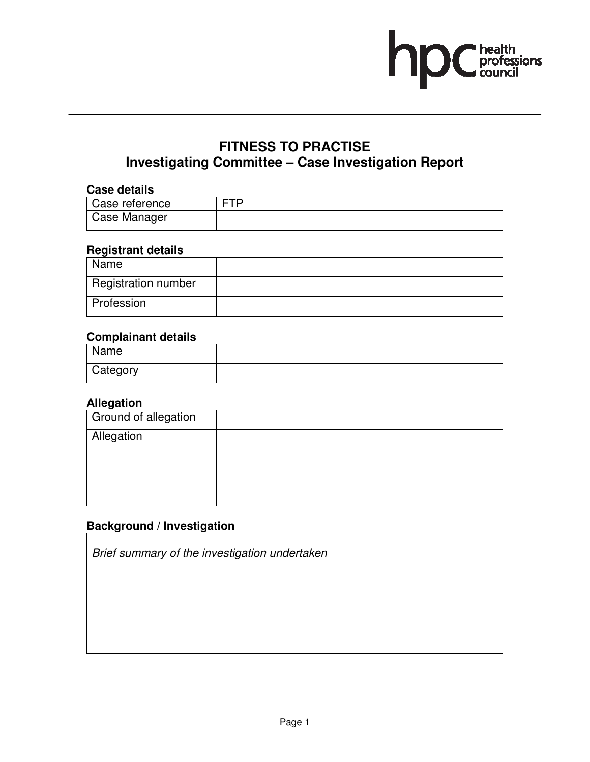

# **FITNESS TO PRACTISE Investigating Committee – Case Investigation Report**

### **Case details**

| ---------------- |     |
|------------------|-----|
| Case reference   | TTD |
| Case Manager     |     |

# **Registrant details**

| Name                       |  |
|----------------------------|--|
| <b>Registration number</b> |  |
| Profession                 |  |

# **Complainant details**

| Name     |  |
|----------|--|
| Category |  |

# **Allegation**

| <b>Ground of allegation</b> |  |
|-----------------------------|--|
| Allegation                  |  |
|                             |  |
|                             |  |
|                             |  |

# **Background / Investigation**

Brief summary of the investigation undertaken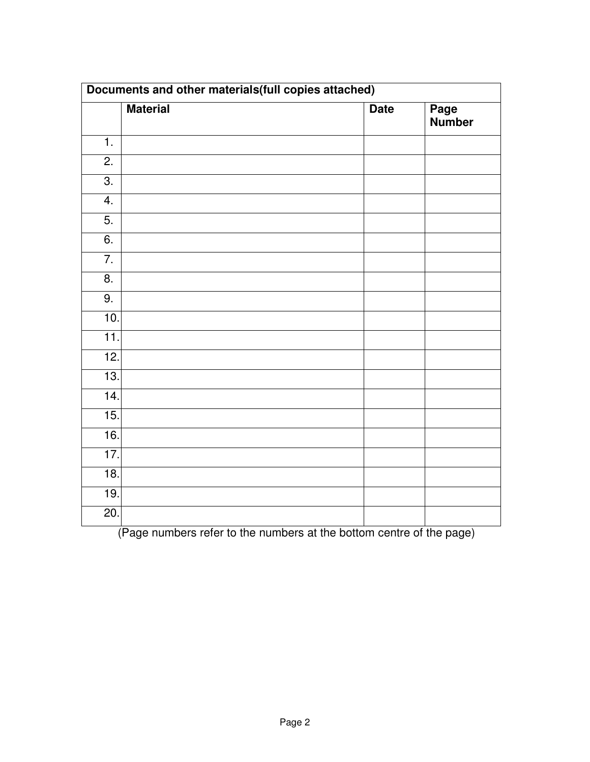| Documents and other materials (full copies attached) |                 |             |                       |
|------------------------------------------------------|-----------------|-------------|-----------------------|
|                                                      | <b>Material</b> | <b>Date</b> | Page<br><b>Number</b> |
| $\overline{1}$ .                                     |                 |             |                       |
| $\overline{2}$ .                                     |                 |             |                       |
| $\overline{3}$ .                                     |                 |             |                       |
| 4.                                                   |                 |             |                       |
| $\overline{5}$ .                                     |                 |             |                       |
| $\overline{6}$ .                                     |                 |             |                       |
| $\overline{7}$ .                                     |                 |             |                       |
| 8.                                                   |                 |             |                       |
| $\overline{9}$ .                                     |                 |             |                       |
| 10.                                                  |                 |             |                       |
| $\overline{11}$ .                                    |                 |             |                       |
| 12.                                                  |                 |             |                       |
| 13.                                                  |                 |             |                       |
| $\overline{14}$ .                                    |                 |             |                       |
| 15.                                                  |                 |             |                       |
| 16.                                                  |                 |             |                       |
| $\overline{17}$ .                                    |                 |             |                       |
| 18.                                                  |                 |             |                       |
| 19.                                                  |                 |             |                       |
| 20.                                                  |                 |             |                       |

(Page numbers refer to the numbers at the bottom centre of the page)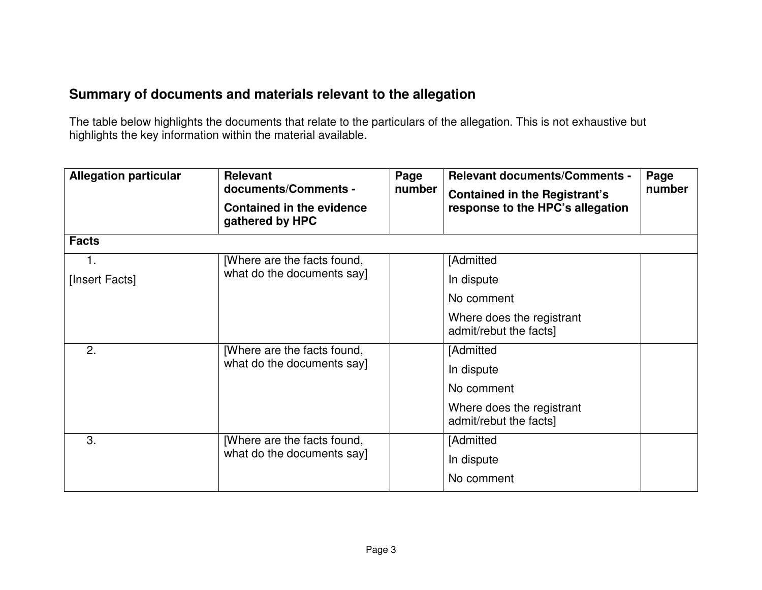# **Summary of documents and materials relevant to the allegation**

The table below highlights the documents that relate to the particulars of the allegation. This is not exhaustive but highlights the key information within the material available.

| <b>Allegation particular</b> | <b>Relevant</b><br>Page<br>documents/Comments -<br>number |  | <b>Relevant documents/Comments -</b><br><b>Contained in the Registrant's</b> | Page<br>number |
|------------------------------|-----------------------------------------------------------|--|------------------------------------------------------------------------------|----------------|
|                              | <b>Contained in the evidence</b><br>gathered by HPC       |  | response to the HPC's allegation                                             |                |
| <b>Facts</b>                 |                                                           |  |                                                                              |                |
| 1.                           | [Where are the facts found,                               |  | [Admitted                                                                    |                |
| [Insert Facts]               | what do the documents say]                                |  | In dispute                                                                   |                |
|                              |                                                           |  | No comment                                                                   |                |
|                              |                                                           |  | Where does the registrant<br>admit/rebut the facts]                          |                |
| 2.                           | [Where are the facts found,                               |  | [Admitted                                                                    |                |
|                              | what do the documents say]                                |  | In dispute                                                                   |                |
|                              |                                                           |  | No comment                                                                   |                |
|                              |                                                           |  | Where does the registrant<br>admit/rebut the facts]                          |                |
| 3.                           | [Where are the facts found,<br>what do the documents say] |  | [Admitted                                                                    |                |
|                              |                                                           |  | In dispute                                                                   |                |
|                              |                                                           |  | No comment                                                                   |                |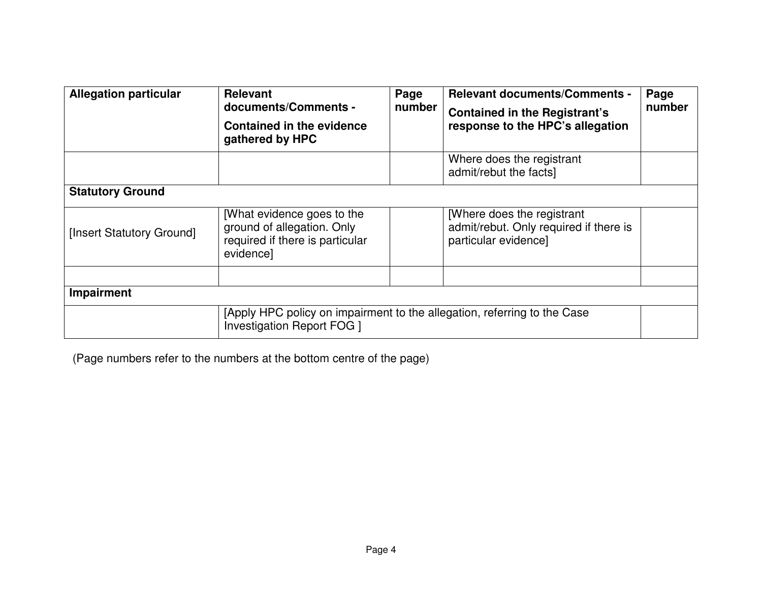| <b>Allegation particular</b> | <b>Relevant</b><br>documents/Comments -<br><b>Contained in the evidence</b><br>gathered by HPC                | Page<br>number | <b>Relevant documents/Comments -</b><br><b>Contained in the Registrant's</b><br>response to the HPC's allegation | Page<br>number |
|------------------------------|---------------------------------------------------------------------------------------------------------------|----------------|------------------------------------------------------------------------------------------------------------------|----------------|
|                              |                                                                                                               |                | Where does the registrant<br>admit/rebut the facts]                                                              |                |
| <b>Statutory Ground</b>      |                                                                                                               |                |                                                                                                                  |                |
| [Insert Statutory Ground]    | [What evidence goes to the<br>ground of allegation. Only<br>required if there is particular<br>evidence]      |                | [Where does the registrant]<br>admit/rebut. Only required if there is<br>particular evidence]                    |                |
|                              |                                                                                                               |                |                                                                                                                  |                |
| Impairment                   |                                                                                                               |                |                                                                                                                  |                |
|                              | [Apply HPC policy on impairment to the allegation, referring to the Case<br><b>Investigation Report FOG 1</b> |                |                                                                                                                  |                |

(Page numbers refer to the numbers at the bottom centre of the page)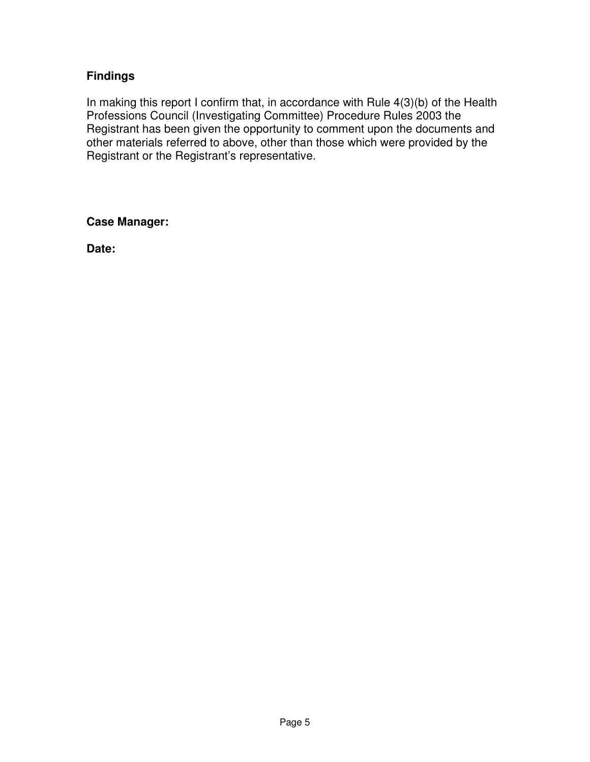# **Findings**

In making this report I confirm that, in accordance with Rule 4(3)(b) of the Health Professions Council (Investigating Committee) Procedure Rules 2003 the Registrant has been given the opportunity to comment upon the documents and other materials referred to above, other than those which were provided by the Registrant or the Registrant's representative.

**Case Manager:** 

**Date:**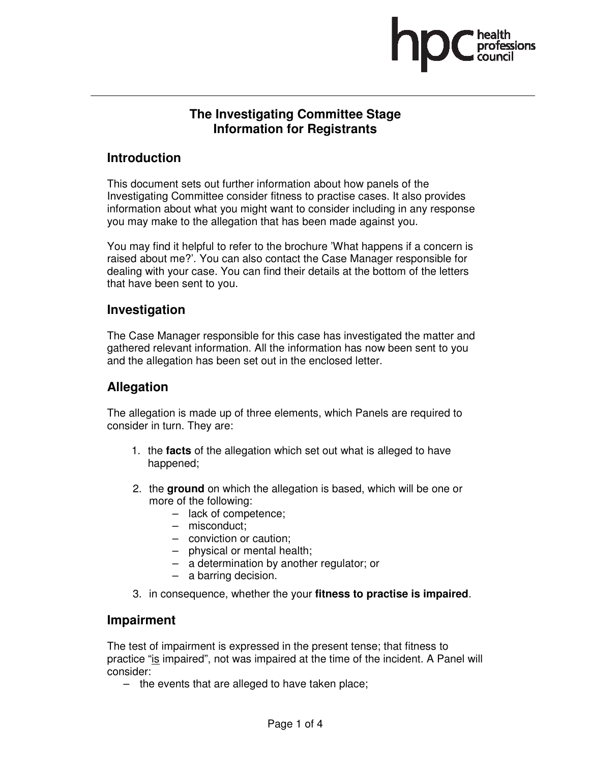

# **The Investigating Committee Stage Information for Registrants**

# **Introduction**

This document sets out further information about how panels of the Investigating Committee consider fitness to practise cases. It also provides information about what you might want to consider including in any response you may make to the allegation that has been made against you.

You may find it helpful to refer to the brochure 'What happens if a concern is raised about me?'. You can also contact the Case Manager responsible for dealing with your case. You can find their details at the bottom of the letters that have been sent to you.

# **Investigation**

The Case Manager responsible for this case has investigated the matter and gathered relevant information. All the information has now been sent to you and the allegation has been set out in the enclosed letter.

# **Allegation**

The allegation is made up of three elements, which Panels are required to consider in turn. They are:

- 1. the **facts** of the allegation which set out what is alleged to have happened;
- 2. the **ground** on which the allegation is based, which will be one or more of the following:
	- lack of competence;
	- misconduct;
	- conviction or caution;
	- physical or mental health;
	- a determination by another regulator; or
	- a barring decision.
- 3. in consequence, whether the your **fitness to practise is impaired**.

# **Impairment**

The test of impairment is expressed in the present tense; that fitness to practice "is impaired", not was impaired at the time of the incident. A Panel will consider:

– the events that are alleged to have taken place;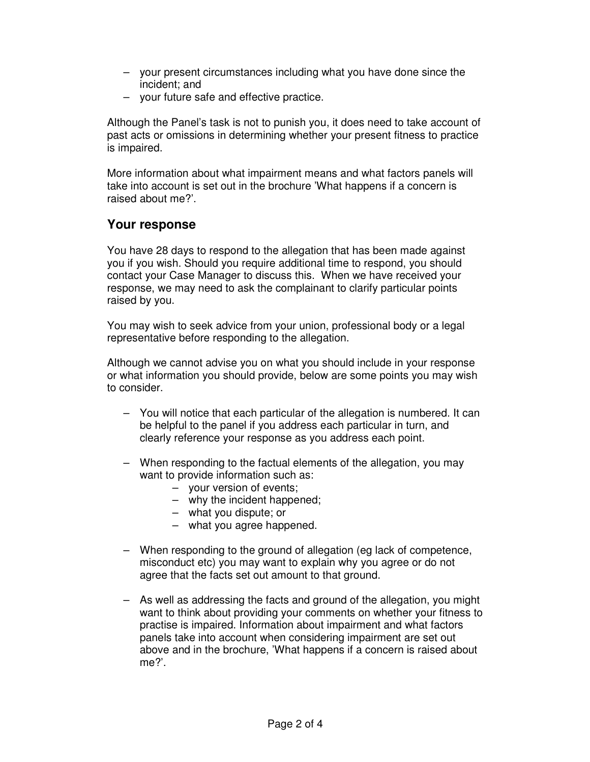- your present circumstances including what you have done since the incident; and
- your future safe and effective practice.

Although the Panel's task is not to punish you, it does need to take account of past acts or omissions in determining whether your present fitness to practice is impaired.

More information about what impairment means and what factors panels will take into account is set out in the brochure 'What happens if a concern is raised about me?'.

# **Your response**

You have 28 days to respond to the allegation that has been made against you if you wish. Should you require additional time to respond, you should contact your Case Manager to discuss this. When we have received your response, we may need to ask the complainant to clarify particular points raised by you.

You may wish to seek advice from your union, professional body or a legal representative before responding to the allegation.

Although we cannot advise you on what you should include in your response or what information you should provide, below are some points you may wish to consider.

- You will notice that each particular of the allegation is numbered. It can be helpful to the panel if you address each particular in turn, and clearly reference your response as you address each point.
- When responding to the factual elements of the allegation, you may want to provide information such as:
	- your version of events;
	- why the incident happened;
	- what you dispute; or
	- what you agree happened.
- When responding to the ground of allegation (eg lack of competence, misconduct etc) you may want to explain why you agree or do not agree that the facts set out amount to that ground.
- As well as addressing the facts and ground of the allegation, you might want to think about providing your comments on whether your fitness to practise is impaired. Information about impairment and what factors panels take into account when considering impairment are set out above and in the brochure, 'What happens if a concern is raised about me?'.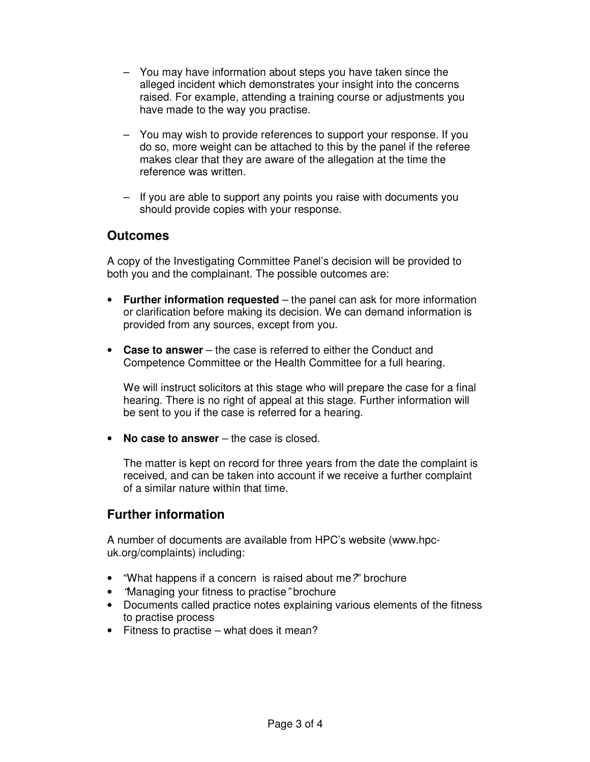- You may have information about steps you have taken since the alleged incident which demonstrates your insight into the concerns raised. For example, attending a training course or adjustments you have made to the way you practise.
- You may wish to provide references to support your response. If you do so, more weight can be attached to this by the panel if the referee makes clear that they are aware of the allegation at the time the reference was written.
- If you are able to support any points you raise with documents you should provide copies with your response.

# **Outcomes**

A copy of the Investigating Committee Panel's decision will be provided to both you and the complainant. The possible outcomes are:

- **Further information requested** the panel can ask for more information or clarification before making its decision. We can demand information is provided from any sources, except from you.
- **Case to answer** the case is referred to either the Conduct and Competence Committee or the Health Committee for a full hearing.

We will instruct solicitors at this stage who will prepare the case for a final hearing. There is no right of appeal at this stage. Further information will be sent to you if the case is referred for a hearing.

• **No case to answer** – the case is closed.

The matter is kept on record for three years from the date the complaint is received, and can be taken into account if we receive a further complaint of a similar nature within that time.

# **Further information**

A number of documents are available from HPC's website (www.hpcuk.org/complaints) including:

- "What happens if a concern is raised about me?" brochure
- "Managing your fitness to practise" brochure
- Documents called practice notes explaining various elements of the fitness to practise process
- Fitness to practise what does it mean?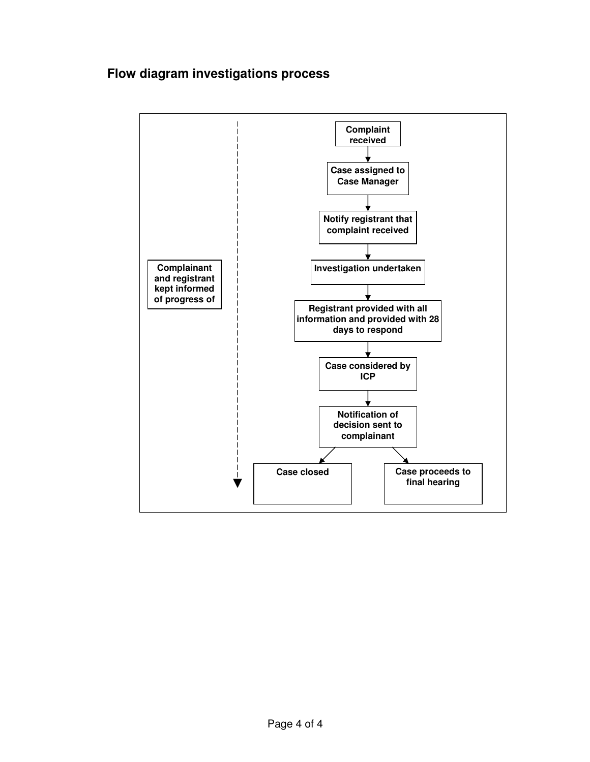# **Flow diagram investigations process**

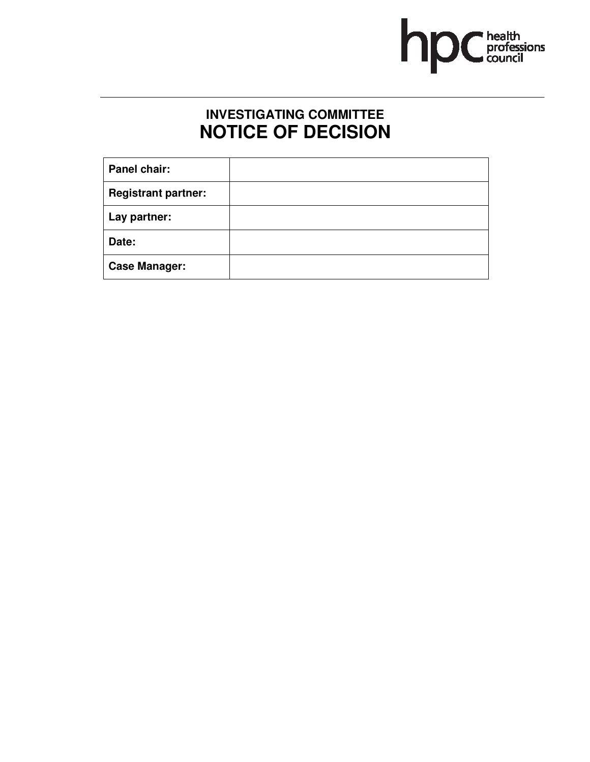

# **INVESTIGATING COMMITTEE NOTICE OF DECISION**

| Panel chair:               |  |
|----------------------------|--|
| <b>Registrant partner:</b> |  |
| Lay partner:               |  |
| Date:                      |  |
| <b>Case Manager:</b>       |  |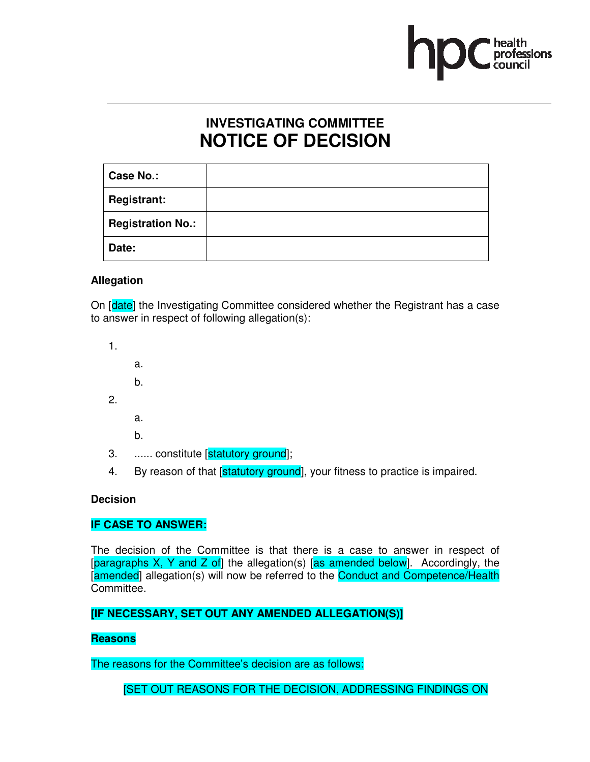

# **INVESTIGATING COMMITTEE NOTICE OF DECISION**

| <b>Case No.:</b>         |  |
|--------------------------|--|
| <b>Registrant:</b>       |  |
| <b>Registration No.:</b> |  |
| Date:                    |  |

# **Allegation**

On [date] the Investigating Committee considered whether the Registrant has a case to answer in respect of following allegation(s):

1. a. b. 2. a.

b.

- 3. ...... constitute [statutory ground];
- 4. By reason of that *statutory ground*, your fitness to practice is impaired.

### **Decision**

# **IF CASE TO ANSWER:**

The decision of the Committee is that there is a case to answer in respect of  $\beta$  [paragraphs X, Y and Z of] the allegation(s) [as amended below]. Accordingly, the [amended] allegation(s) will now be referred to the Conduct and Competence/Health Committee.

# **[IF NECESSARY, SET OUT ANY AMENDED ALLEGATION(S)]**

# **Reasons**

The reasons for the Committee's decision are as follows:

[SET OUT REASONS FOR THE DECISION, ADDRESSING FINDINGS ON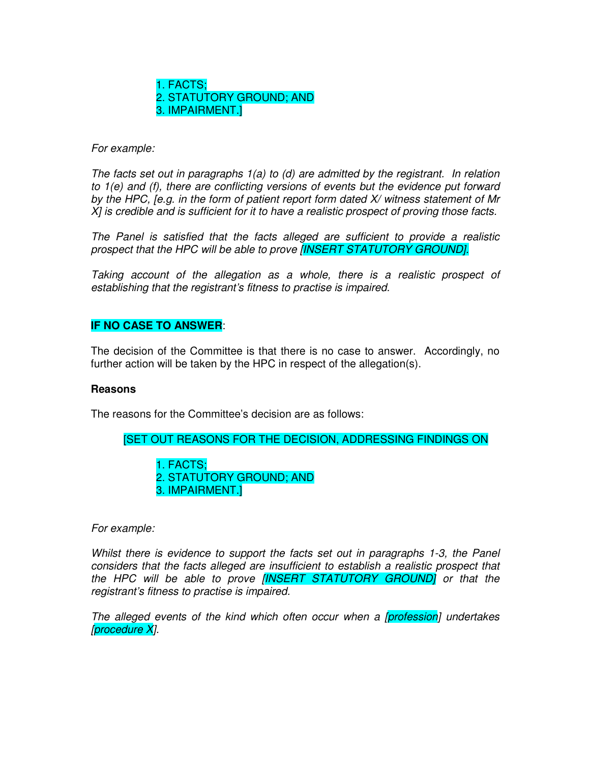1. FACTS; 2. STATUTORY GROUND; AND 3. IMPAIRMENT.]

For example:

The facts set out in paragraphs 1(a) to (d) are admitted by the registrant. In relation to 1(e) and (f), there are conflicting versions of events but the evidence put forward by the HPC, [e.g. in the form of patient report form dated X/ witness statement of Mr X] is credible and is sufficient for it to have a realistic prospect of proving those facts.

The Panel is satisfied that the facts alleged are sufficient to provide a realistic prospect that the HPC will be able to prove [INSERT STATUTORY GROUND].

Taking account of the allegation as a whole, there is a realistic prospect of establishing that the registrant's fitness to practise is impaired.

# **IF NO CASE TO ANSWER**:

The decision of the Committee is that there is no case to answer. Accordingly, no further action will be taken by the HPC in respect of the allegation(s).

#### **Reasons**

The reasons for the Committee's decision are as follows:

[SET OUT REASONS FOR THE DECISION, ADDRESSING FINDINGS ON

1. FACTS; 2. STATUTORY GROUND; AND 3. IMPAIRMENT.]

For example:

Whilst there is evidence to support the facts set out in paragraphs 1-3, the Panel considers that the facts alleged are insufficient to establish a realistic prospect that the HPC will be able to prove **[INSERT STATUTORY GROUND]** or that the registrant's fitness to practise is impaired.

The alleged events of the kind which often occur when a [profession] undertakes [procedure X].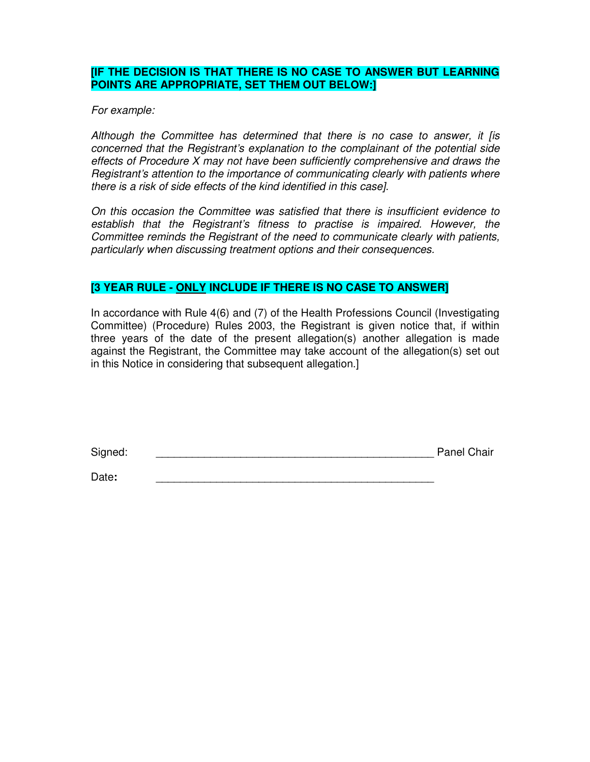# **[IF THE DECISION IS THAT THERE IS NO CASE TO ANSWER BUT LEARNING POINTS ARE APPROPRIATE, SET THEM OUT BELOW:]**

For example:

Although the Committee has determined that there is no case to answer, it [is concerned that the Registrant's explanation to the complainant of the potential side effects of Procedure X may not have been sufficiently comprehensive and draws the Registrant's attention to the importance of communicating clearly with patients where there is a risk of side effects of the kind identified in this case].

On this occasion the Committee was satisfied that there is insufficient evidence to establish that the Registrant's fitness to practise is impaired. However, the Committee reminds the Registrant of the need to communicate clearly with patients, particularly when discussing treatment options and their consequences.

# **[3 YEAR RULE - ONLY INCLUDE IF THERE IS NO CASE TO ANSWER]**

In accordance with Rule 4(6) and (7) of the Health Professions Council (Investigating Committee) (Procedure) Rules 2003, the Registrant is given notice that, if within three years of the date of the present allegation(s) another allegation is made against the Registrant, the Committee may take account of the allegation(s) set out in this Notice in considering that subsequent allegation.]

Signed: \_\_\_\_\_\_\_\_\_\_\_\_\_\_\_\_\_\_\_\_\_\_\_\_\_\_\_\_\_\_\_\_\_\_\_\_\_\_\_\_\_\_\_\_\_\_ Panel Chair

Date**:** \_\_\_\_\_\_\_\_\_\_\_\_\_\_\_\_\_\_\_\_\_\_\_\_\_\_\_\_\_\_\_\_\_\_\_\_\_\_\_\_\_\_\_\_\_\_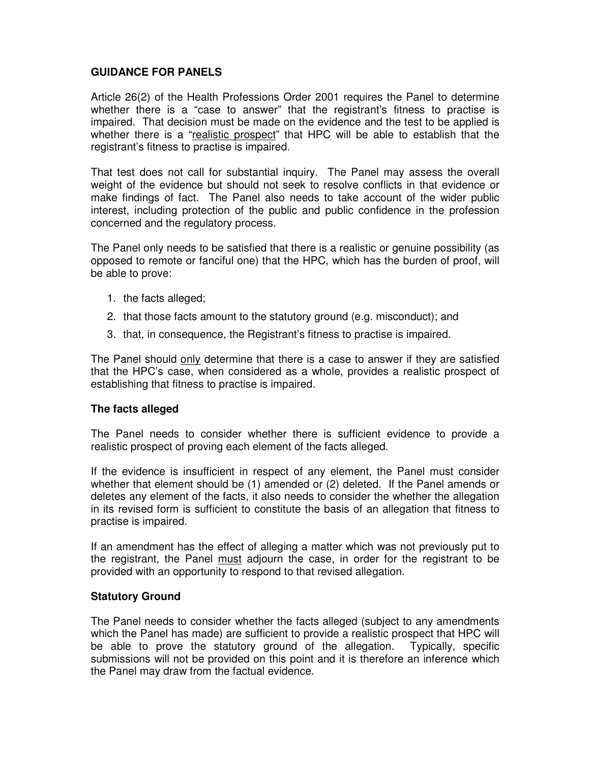# **GUIDANCE FOR PANELS**

Article 26(2) of the Health Professions Order 2001 requires the Panel to determine whether there is a "case to answer" that the registrant's fitness to practise is impaired. That decision must be made on the evidence and the test to be applied is whether there is a "realistic prospect" that HPC will be able to establish that the registrant's fitness to practise is impaired.

That test does not call for substantial inquiry. The Panel may assess the overall weight of the evidence but should not seek to resolve conflicts in that evidence or make findings of fact. The Panel also needs to take account of the wider public interest, including protection of the public and public confidence in the profession concerned and the regulatory process.

The Panel only needs to be satisfied that there is a realistic or genuine possibility (as opposed to remote or fanciful one) that the HPC, which has the burden of proof, will be able to prove:

- 1. the facts alleged;
- 2. that those facts amount to the statutory ground (e.g. misconduct); and
- 3. that, in consequence, the Registrant's fitness to practise is impaired.

The Panel should only determine that there is a case to answer if they are satisfied that the HPC's case, when considered as a whole, provides a realistic prospect of establishing that fitness to practise is impaired.

### **The facts alleged**

The Panel needs to consider whether there is sufficient evidence to provide a realistic prospect of proving each element of the facts alleged.

If the evidence is insufficient in respect of any element, the Panel must consider whether that element should be (1) amended or (2) deleted. If the Panel amends or deletes any element of the facts, it also needs to consider the whether the allegation in its revised form is sufficient to constitute the basis of an allegation that fitness to practise is impaired.

If an amendment has the effect of alleging a matter which was not previously put to the registrant, the Panel must adjourn the case, in order for the registrant to be provided with an opportunity to respond to that revised allegation.

#### **Statutory Ground**

The Panel needs to consider whether the facts alleged (subject to any amendments which the Panel has made) are sufficient to provide a realistic prospect that HPC will be able to prove the statutory ground of the allegation. Typically, specific submissions will not be provided on this point and it is therefore an inference which the Panel may draw from the factual evidence.